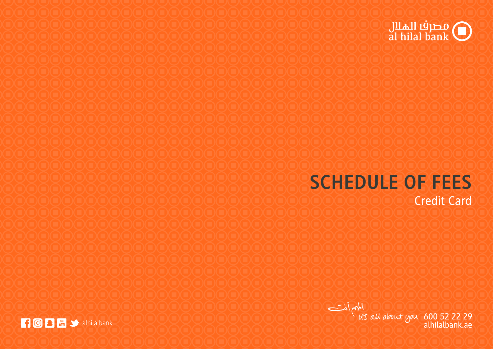

## **SCHEDULE OF FEES**

Credit Card

 $\frac{1}{115}$  du about you 600 52 22 29<br>alhilalbank.ae alhilalbank.ae

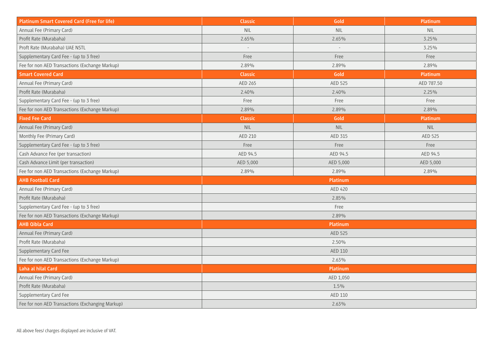| <b>Platinum Smart Covered Card (Free for life)</b> | Classic        | Gold            | Platinum        |
|----------------------------------------------------|----------------|-----------------|-----------------|
| Annual Fee (Primary Card)                          | <b>NIL</b>     | <b>NIL</b>      | <b>NIL</b>      |
| Profit Rate (Murabaha)                             | 2.65%          | 2.65%           | $3.25\%$        |
| Proft Rate (Murabaha) UAE NSTL                     |                |                 | 3.25%           |
| Supplementary Card Fee - (up to 3 free)            | Free           | Free            | Free            |
| Fee for non AED Transactions (Exchange Markup)     | 2.89%          | 2.89%           | 2.89%           |
| <b>Smart Covered Card</b>                          | Classic        | Gold            | <b>Platinum</b> |
| Annual Fee (Primary Card)                          | AED 265        | AED 525         | AED 787.50      |
| Profit Rate (Murabaha)                             | 2.40%          | 2.40%           | 2.25%           |
| Supplementary Card Fee - (up to 3 free)            | Free           | Free            | Free            |
| Fee for non AED Transactions (Exchange Markup)     | 2.89%          | 2.89%           | 2.89%           |
| <b>Fixed Fee Card</b>                              | Classic        | Gold            | Platinum        |
| Annual Fee (Primary Card)                          | <b>NIL</b>     | <b>NIL</b>      | <b>NIL</b>      |
| Monthly Fee (Primary Card)                         | AED 210        | AED 315         | AED 525         |
| Supplementary Card Fee - (up to 3 free)            | Free           | Free            | Free            |
| Cash Advance Fee (per transaction)                 | AED 94.5       | AED 94.5        | AED 94.5        |
| Cash Advance Limit (per transaction)               | AED 5,000      | AED 5,000       | AED 5,000       |
| Fee for non AED Transactions (Exchange Markup)     | 2.89%          | 2.89%           | 2.89%           |
| <b>AHB Football Card</b>                           |                | <b>Platinum</b> |                 |
| Annual Fee (Primary Card)                          | <b>AED 420</b> |                 |                 |
| Profit Rate (Murabaha)                             | $2.85\%$       |                 |                 |
| Supplementary Card Fee - (up to 3 free)            | Free           |                 |                 |
| Fee for non AED Transactions (Exchange Markup)     | 2.89%          |                 |                 |
| <b>AHB Qibla Card</b>                              | Platinum       |                 |                 |
| Annual Fee (Primary Card)                          | AED 525        |                 |                 |
| Profit Rate (Murabaha)                             | $2.50\%$       |                 |                 |
| Supplementary Card Fee                             | AED 110        |                 |                 |
| Fee for non AED Transactions (Exchange Markup)     | $2.63\%$       |                 |                 |
| Laha al hilal Card                                 | Platinum       |                 |                 |
| Annual Fee (Primary Card)                          | AED 1,050      |                 |                 |
| Profit Rate (Murabaha)                             | $1.5\%$        |                 |                 |
| Supplementary Card Fee                             | AED 110        |                 |                 |
| Fee for non AED Transactions (Exchanging Markup)   | $2.63\%$       |                 |                 |